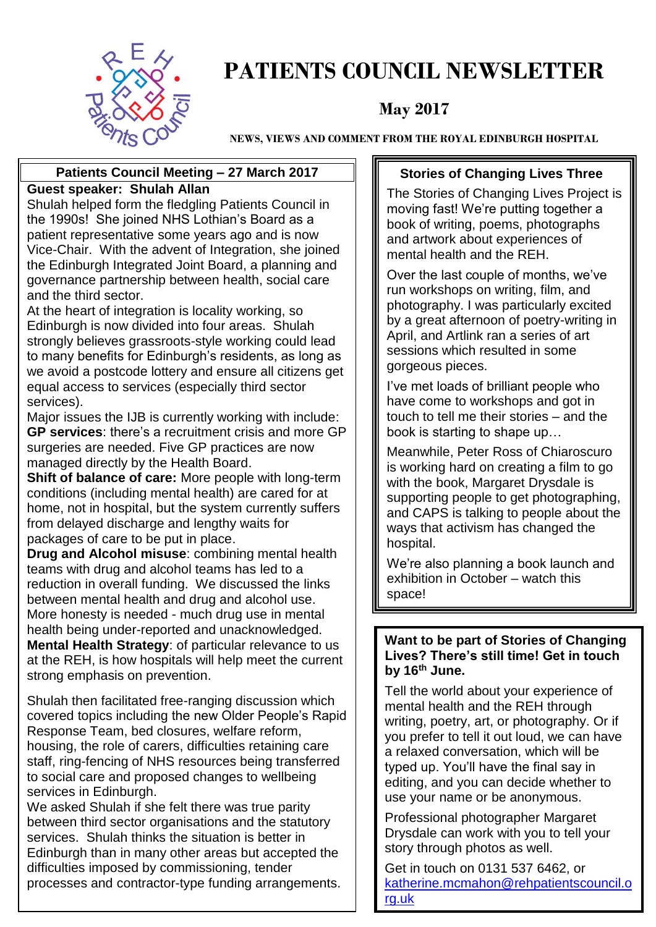

### **PATIENTS COUNCIL NEWSLETTER**

#### **May 2017**

**NEWS, VIEWS AND COMMENT FROM THE ROYAL EDINBURGH HOSPITAL**

#### **Patients Council Meeting – 27 March 2017 Guest speaker: Shulah Allan**

Shulah helped form the fledgling Patients Council in the 1990s! She joined NHS Lothian's Board as a patient representative some years ago and is now Vice-Chair. With the advent of Integration, she joined the Edinburgh Integrated Joint Board, a planning and governance partnership between health, social care and the third sector.

At the heart of integration is locality working, so Edinburgh is now divided into four areas. Shulah strongly believes grassroots-style working could lead to many benefits for Edinburgh's residents, as long as we avoid a postcode lottery and ensure all citizens get equal access to services (especially third sector services).

Major issues the IJB is currently working with include: **GP services**: there's a recruitment crisis and more GP surgeries are needed. Five GP practices are now managed directly by the Health Board.

**Shift of balance of care:** More people with long-term conditions (including mental health) are cared for at home, not in hospital, but the system currently suffers from delayed discharge and lengthy waits for packages of care to be put in place.

**Drug and Alcohol misuse**: combining mental health teams with drug and alcohol teams has led to a reduction in overall funding. We discussed the links between mental health and drug and alcohol use. More honesty is needed - much drug use in mental health being under-reported and unacknowledged. **Mental Health Strategy**: of particular relevance to us at the REH, is how hospitals will help meet the current strong emphasis on prevention.

Shulah then facilitated free-ranging discussion which covered topics including the new Older People's Rapid Response Team, bed closures, welfare reform, housing, the role of carers, difficulties retaining care staff, ring-fencing of NHS resources being transferred to social care and proposed changes to wellbeing services in Edinburgh.

We asked Shulah if she felt there was true parity between third sector organisations and the statutory services. Shulah thinks the situation is better in Edinburgh than in many other areas but accepted the difficulties imposed by commissioning, tender processes and contractor-type funding arrangements.

#### **Stories of Changing Lives Three**

The Stories of Changing Lives Project is moving fast! We're putting together a book of writing, poems, photographs and artwork about experiences of mental health and the REH.

Over the last couple of months, we've run workshops on writing, film, and photography. I was particularly excited by a great afternoon of poetry-writing in April, and Artlink ran a series of art sessions which resulted in some gorgeous pieces.

I've met loads of brilliant people who have come to workshops and got in touch to tell me their stories – and the book is starting to shape up…

Meanwhile, Peter Ross of Chiaroscuro is working hard on creating a film to go with the book, Margaret Drysdale is supporting people to get photographing, and CAPS is talking to people about the ways that activism has changed the hospital.

We're also planning a book launch and exhibition in October – watch this space!

#### **Want to be part of Stories of Changing Lives? There's still time! Get in touch by 16th June.**

Tell the world about your experience of mental health and the REH through writing, poetry, art, or photography. Or if you prefer to tell it out loud, we can have a relaxed conversation, which will be typed up. You'll have the final say in editing, and you can decide whether to use your name or be anonymous.

Professional photographer Margaret Drysdale can work with you to tell your story through photos as well.

Get in touch on 0131 537 6462, or [katherine.mcmahon@rehpatientscouncil.o](mailto:katherine.mcmahon@rehpatientscouncil.org.uk) [rg.uk](mailto:katherine.mcmahon@rehpatientscouncil.org.uk)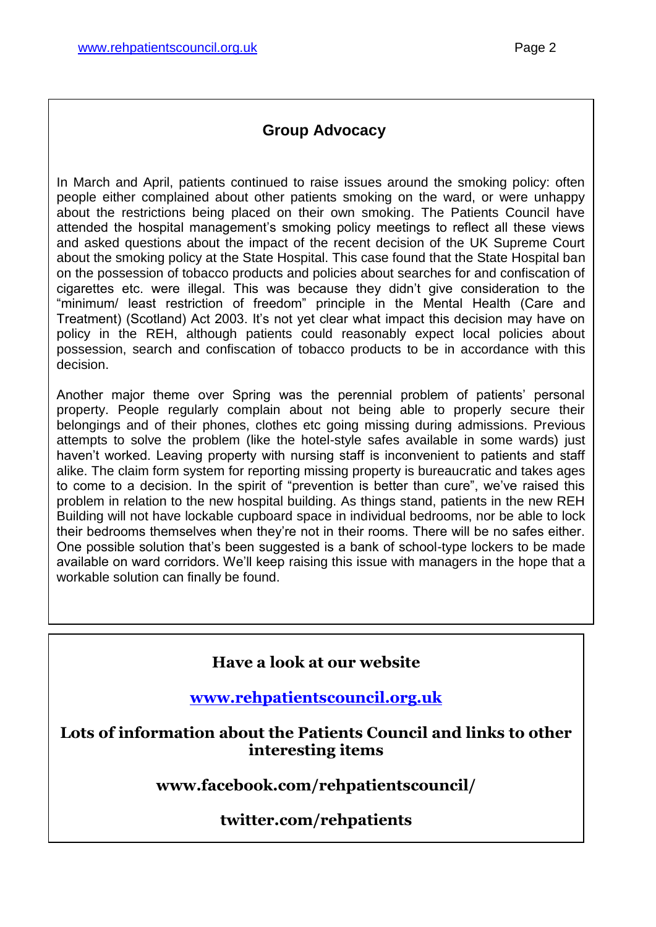#### **Group Advocacy**

In March and April, patients continued to raise issues around the smoking policy: often people either complained about other patients smoking on the ward, or were unhappy about the restrictions being placed on their own smoking. The Patients Council have attended the hospital management's smoking policy meetings to reflect all these views and asked questions about the impact of the recent decision of the UK Supreme Court about the smoking policy at the State Hospital. This case found that the State Hospital ban on the possession of tobacco products and policies about searches for and confiscation of cigarettes etc. were illegal. This was because they didn't give consideration to the "minimum/ least restriction of freedom" principle in the Mental Health (Care and Treatment) (Scotland) Act 2003. It's not yet clear what impact this decision may have on policy in the REH, although patients could reasonably expect local policies about possession, search and confiscation of tobacco products to be in accordance with this decision.

Another major theme over Spring was the perennial problem of patients' personal property. People regularly complain about not being able to properly secure their belongings and of their phones, clothes etc going missing during admissions. Previous attempts to solve the problem (like the hotel-style safes available in some wards) just haven't worked. Leaving property with nursing staff is inconvenient to patients and staff alike. The claim form system for reporting missing property is bureaucratic and takes ages to come to a decision. In the spirit of "prevention is better than cure", we've raised this problem in relation to the new hospital building. As things stand, patients in the new REH Building will not have lockable cupboard space in individual bedrooms, nor be able to lock their bedrooms themselves when they're not in their rooms. There will be no safes either. One possible solution that's been suggested is a bank of school-type lockers to be made available on ward corridors. We'll keep raising this issue with managers in the hope that a workable solution can finally be found.

#### **Have a look at our website**

**[www.rehpatientscouncil.org.uk](http://www.rehpatientscouncil.org.uk/)**

**Lots of information about the Patients Council and links to other interesting items**

**www.facebook.com/rehpatientscouncil/**

#### **twitter.com/rehpatients**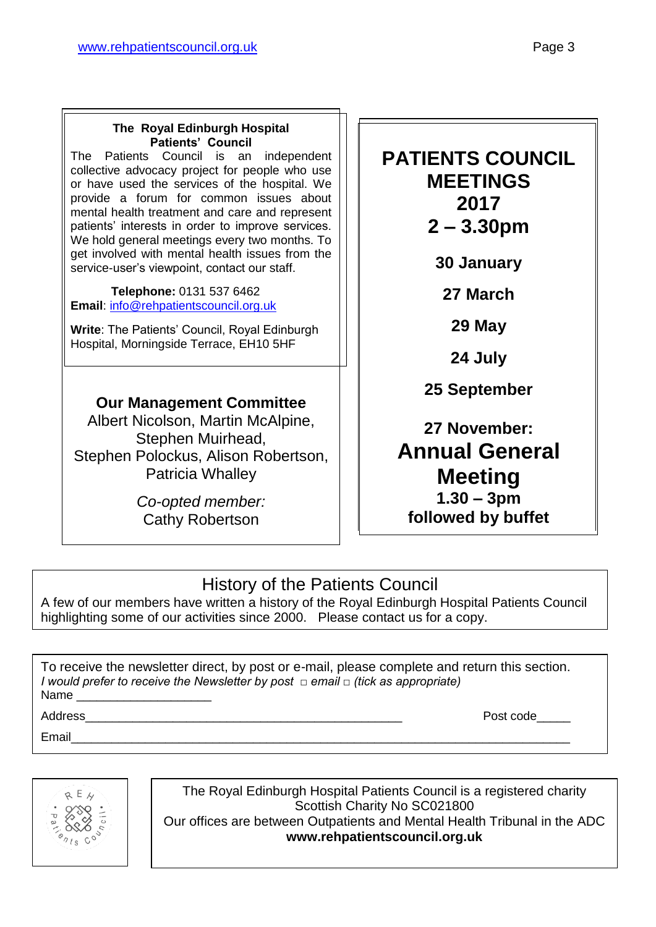#### **The Royal Edinburgh Hospital Patients' Council**

The Patients Council is an independent collective advocacy project for people who use or have used the services of the hospital. We provide a forum for common issues about mental health treatment and care and represent patients' interests in order to improve services. We hold general meetings every two months. To get involved with mental health issues from the service-user's viewpoint, contact our staff.

 **Telephone:** 0131 537 6462 **Email**: [info@rehpatientscouncil.org.uk](mailto:info@rehpatientscouncil.org.uk)

**Write**: The Patients' Council, Royal Edinburgh Hospital, Morningside Terrace, EH10 5HF

#### **Our Management Committee**

Albert Nicolson, Martin McAlpine, Stephen Muirhead, Stephen Polockus, Alison Robertson, Patricia Whalley

> *Co-opted member:* Cathy Robertson

**PATIENTS COUNCIL MEETINGS 2017 2 – 3.30pm**

**30 January**

**27 March**

**29 May**

**24 July**

**25 September**

**27 November: Annual General Meeting 1.30 – 3pm followed by buffet** 

#### History of the Patients Council

A few of our members have written a history of the Royal Edinburgh Hospital Patients Council highlighting some of our activities since 2000. Please contact us for a copy.

To receive the newsletter direct, by post or e-mail, please complete and return this section. *I would prefer to receive the Newsletter by post □ email □ (tick as appropriate)* Name

Email\_\_\_\_\_\_\_\_\_\_\_\_\_\_\_\_\_\_\_\_\_\_\_\_\_\_\_\_\_\_\_\_\_\_\_\_\_\_\_\_\_\_\_\_\_\_\_\_\_\_\_\_\_\_\_\_\_\_\_\_\_\_\_\_\_\_\_\_\_\_\_\_\_\_

Address **Address Post code** 



The Royal Edinburgh Hospital Patients Council is a registered charity Scottish Charity No SC021800 Our offices are between Outpatients and Mental Health Tribunal in the ADC **www.rehpatientscouncil.org.uk**